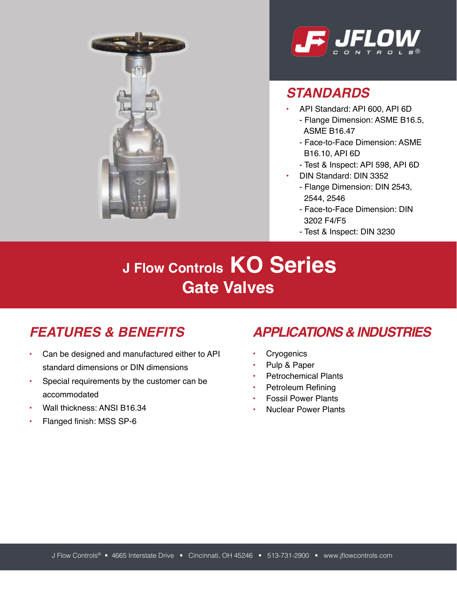



#### *STANDARDS*

- API Standard: API 600, API 6D
	- Flange Dimension: ASME B16.5, ASME B16.47
	- Face-to-Face Dimension: ASME B16.10, API 6D
	- Test & Inspect: API 598, API 6D
- DIN Standard: DIN 3352
	- Flange Dimension: DIN 2543, 2544, 2546
	- Face-to-Face Dimension: DIN 3202 F4/F5
	- Test & Inspect: DIN 3230

# **J Flow Controls KO Series Gate Valves**

- Can be designed and manufactured either to API standard dimensions or DIN dimensions
- Special requirements by the customer can be accommodated
- Wall thickness: ANSI B16.34
- Flanged finish: MSS SP-6

#### *FEATURES & BENEFITS APPLICATIONS & INDUSTRIES*

- Cryogenics
- Pulp & Paper
- Petrochemical Plants
- Petroleum Refining
- Fossil Power Plants
- Nuclear Power Plants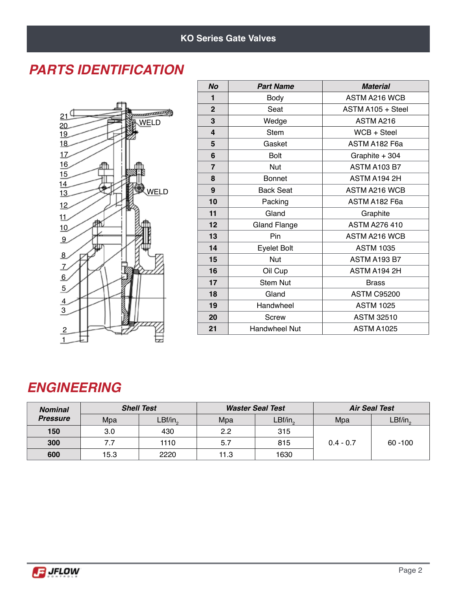#### *PARTS IDENTIFICATION*



| <b>No</b>      | <b>Part Name</b>     | <b>Material</b>      |  |  |  |  |
|----------------|----------------------|----------------------|--|--|--|--|
| 1              | Body                 | ASTM A216 WCB        |  |  |  |  |
| $\overline{2}$ | Seat                 | ASTM A105 + Steel    |  |  |  |  |
| 3              | Wedge                | ASTM A216            |  |  |  |  |
| 4              | <b>Stem</b>          | $WCB + Steel$        |  |  |  |  |
| 5              | Gasket               | ASTM A182 F6a        |  |  |  |  |
| 6              | <b>Bolt</b>          | Graphite + 304       |  |  |  |  |
| $\overline{7}$ | Nut                  | <b>ASTM A103 B7</b>  |  |  |  |  |
| 8              | <b>Bonnet</b>        | ASTM A194 2H         |  |  |  |  |
| 9              | <b>Back Seat</b>     | <b>ASTM A216 WCB</b> |  |  |  |  |
| 10             | Packing              | ASTM A182 F6a        |  |  |  |  |
| 11             | Gland                | Graphite             |  |  |  |  |
| 12             | <b>Gland Flange</b>  | <b>ASTM A276 410</b> |  |  |  |  |
| 13             | Pin                  | <b>ASTM A216 WCB</b> |  |  |  |  |
| 14             | <b>Eyelet Bolt</b>   | <b>ASTM 1035</b>     |  |  |  |  |
| 15             | <b>Nut</b>           | <b>ASTM A193 B7</b>  |  |  |  |  |
| 16             | Oil Cup              | ASTM A194 2H         |  |  |  |  |
| 17             | <b>Stem Nut</b>      | <b>Brass</b>         |  |  |  |  |
| 18             | Gland                | <b>ASTM C95200</b>   |  |  |  |  |
| 19             | Handwheel            | <b>ASTM 1025</b>     |  |  |  |  |
| 20             | Screw                | <b>ASTM 32510</b>    |  |  |  |  |
| 21             | <b>Handwheel Nut</b> | <b>ASTM A1025</b>    |  |  |  |  |

#### *ENGINEERING*

| <b>Nominal</b>  |      | <b>Shell Test</b> |      | <b>Waster Seal Test</b> | <b>Air Seal Test</b> |            |  |
|-----------------|------|-------------------|------|-------------------------|----------------------|------------|--|
| <b>Pressure</b> | Mpa  | $LBf/in_{2}$      | Mpa  | $LBf/in_{2}$            | Mpa                  | LBf/in,    |  |
| 150             | 3.0  | 430               | 2.2  | 315                     |                      | $60 - 100$ |  |
| 300             | 7.7  | 1110              | -5.7 | 815                     | $0.4 - 0.7$          |            |  |
| 600             | 15.3 | 2220              | 11.3 | 1630                    |                      |            |  |

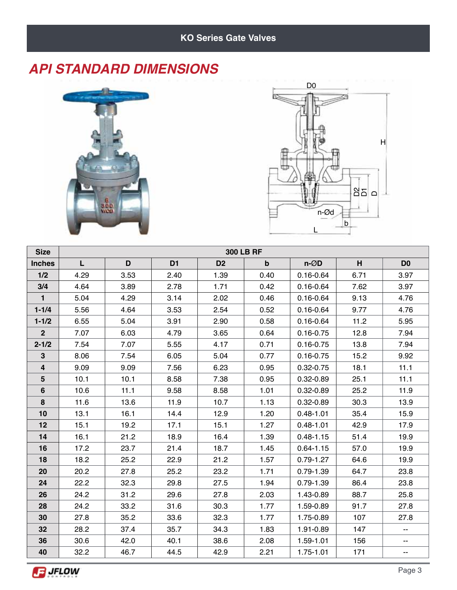# *API STANDARD DIMENSIONS*





| <b>Size</b>    | <b>300 LB RF</b> |      |                |                |             |                   |      |                |  |  |  |
|----------------|------------------|------|----------------|----------------|-------------|-------------------|------|----------------|--|--|--|
| <b>Inches</b>  | L                | D    | D <sub>1</sub> | D <sub>2</sub> | $\mathbf b$ | $n-\varnothing D$ | H    | D <sub>0</sub> |  |  |  |
| 1/2            | 4.29             | 3.53 | 2.40           | 1.39           | 0.40        | $0.16 - 0.64$     | 6.71 | 3.97           |  |  |  |
| 3/4            | 4.64             | 3.89 | 2.78           | 1.71           | 0.42        | $0.16 - 0.64$     | 7.62 | 3.97           |  |  |  |
| $\mathbf{1}$   | 5.04             | 4.29 | 3.14           | 2.02           | 0.46        | $0.16 - 0.64$     | 9.13 | 4.76           |  |  |  |
| $1 - 1/4$      | 5.56             | 4.64 | 3.53           | 2.54           | 0.52        | $0.16 - 0.64$     | 9.77 | 4.76           |  |  |  |
| $1 - 1/2$      | 6.55             | 5.04 | 3.91           | 2.90           | 0.58        | $0.16 - 0.64$     | 11.2 | 5.95           |  |  |  |
| $\overline{2}$ | 7.07             | 6.03 | 4.79           | 3.65           | 0.64        | $0.16 - 0.75$     | 12.8 | 7.94           |  |  |  |
| $2 - 1/2$      | 7.54             | 7.07 | 5.55           | 4.17           | 0.71        | $0.16 - 0.75$     | 13.8 | 7.94           |  |  |  |
| 3              | 8.06             | 7.54 | 6.05           | 5.04           | 0.77        | $0.16 - 0.75$     | 15.2 | 9.92           |  |  |  |
| 4              | 9.09             | 9.09 | 7.56           | 6.23           | 0.95        | $0.32 - 0.75$     | 18.1 | 11.1           |  |  |  |
| $5\phantom{1}$ | 10.1             | 10.1 | 8.58           | 7.38           | 0.95        | 0.32-0.89         | 25.1 | 11.1           |  |  |  |
| 6              | 10.6             | 11.1 | 9.58           | 8.58           | 1.01        | $0.32 - 0.89$     | 25.2 | 11.9           |  |  |  |
| 8              | 11.6             | 13.6 | 11.9           | 10.7           | 1.13        | $0.32 - 0.89$     | 30.3 | 13.9           |  |  |  |
| 10             | 13.1             | 16.1 | 14.4           | 12.9           | 1.20        | $0.48 - 1.01$     | 35.4 | 15.9           |  |  |  |
| 12             | 15.1             | 19.2 | 17.1           | 15.1           | 1.27        | $0.48 - 1.01$     | 42.9 | 17.9           |  |  |  |
| 14             | 16.1             | 21.2 | 18.9           | 16.4           | 1.39        | $0.48 - 1.15$     | 51.4 | 19.9           |  |  |  |
| 16             | 17.2             | 23.7 | 21.4           | 18.7           | 1.45        | $0.64 - 1.15$     | 57.0 | 19.9           |  |  |  |
| 18             | 18.2             | 25.2 | 22.9           | 21.2           | 1.57        | $0.79 - 1.27$     | 64.6 | 19.9           |  |  |  |
| 20             | 20.2             | 27.8 | 25.2           | 23.2           | 1.71        | $0.79 - 1.39$     | 64.7 | 23.8           |  |  |  |
| 24             | 22.2             | 32.3 | 29.8           | 27.5           | 1.94        | $0.79 - 1.39$     | 86.4 | 23.8           |  |  |  |
| 26             | 24.2             | 31.2 | 29.6           | 27.8           | 2.03        | 1.43-0.89         | 88.7 | 25.8           |  |  |  |
| 28             | 24.2             | 33.2 | 31.6           | 30.3           | 1.77        | 1.59-0.89         | 91.7 | 27.8           |  |  |  |
| 30             | 27.8             | 35.2 | 33.6           | 32.3           | 1.77        | 1.75-0.89         | 107  | 27.8           |  |  |  |
| 32             | 28.2             | 37.4 | 35.7           | 34.3           | 1.83        | 1.91-0.89         | 147  | --             |  |  |  |
| 36             | 30.6             | 42.0 | 40.1           | 38.6           | 2.08        | 1.59-1.01         | 156  | --             |  |  |  |
| 40             | 32.2             | 46.7 | 44.5           | 42.9           | 2.21        | 1.75-1.01         | 171  | ۰.             |  |  |  |

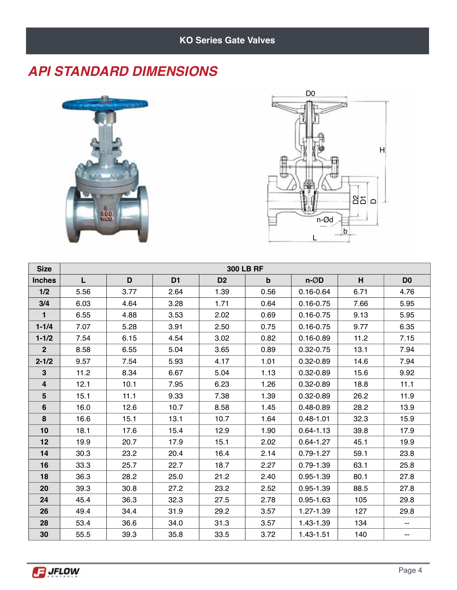#### *API STANDARD DIMENSIONS*





| <b>Size</b>    | <b>300 LB RF</b> |      |                |                |             |                   |      |                |  |  |  |
|----------------|------------------|------|----------------|----------------|-------------|-------------------|------|----------------|--|--|--|
| <b>Inches</b>  | L                | D    | D <sub>1</sub> | D <sub>2</sub> | $\mathbf b$ | $n-\varnothing D$ | н    | D <sub>0</sub> |  |  |  |
| 1/2            | 5.56             | 3.77 | 2.64           | 1.39           | 0.56        | $0.16 - 0.64$     | 6.71 | 4.76           |  |  |  |
| 3/4            | 6.03             | 4.64 | 3.28           | 1.71           | 0.64        | $0.16 - 0.75$     | 7.66 | 5.95           |  |  |  |
| $\mathbf{1}$   | 6.55             | 4.88 | 3.53           | 2.02           | 0.69        | $0.16 - 0.75$     | 9.13 | 5.95           |  |  |  |
| $1 - 1/4$      | 7.07             | 5.28 | 3.91           | 2.50           | 0.75        | $0.16 - 0.75$     | 9.77 | 6.35           |  |  |  |
| $1 - 1/2$      | 7.54             | 6.15 | 4.54           | 3.02           | 0.82        | $0.16 - 0.89$     | 11.2 | 7.15           |  |  |  |
| 2 <sup>2</sup> | 8.58             | 6.55 | 5.04           | 3.65           | 0.89        | $0.32 - 0.75$     | 13.1 | 7.94           |  |  |  |
| $2 - 1/2$      | 9.57             | 7.54 | 5.93           | 4.17           | 1.01        | $0.32 - 0.89$     | 14.6 | 7.94           |  |  |  |
| $\mathbf{3}$   | 11.2             | 8.34 | 6.67           | 5.04           | 1.13        | $0.32 - 0.89$     | 15.6 | 9.92           |  |  |  |
| $\overline{4}$ | 12.1             | 10.1 | 7.95           | 6.23           | 1.26        | $0.32 - 0.89$     | 18.8 | 11.1           |  |  |  |
| 5              | 15.1             | 11.1 | 9.33           | 7.38           | 1.39        | $0.32 - 0.89$     | 26.2 | 11.9           |  |  |  |
| 6              | 16.0             | 12.6 | 10.7           | 8.58           | 1.45        | $0.48 - 0.89$     | 28.2 | 13.9           |  |  |  |
| 8              | 16.6             | 15.1 | 13.1           | 10.7           | 1.64        | $0.48 - 1.01$     | 32.3 | 15.9           |  |  |  |
| 10             | 18.1             | 17.6 | 15.4           | 12.9           | 1.90        | $0.64 - 1.13$     | 39.8 | 17.9           |  |  |  |
| 12             | 19.9             | 20.7 | 17.9           | 15.1           | 2.02        | $0.64 - 1.27$     | 45.1 | 19.9           |  |  |  |
| 14             | 30.3             | 23.2 | 20.4           | 16.4           | 2.14        | $0.79 - 1.27$     | 59.1 | 23.8           |  |  |  |
| 16             | 33.3             | 25.7 | 22.7           | 18.7           | 2.27        | $0.79 - 1.39$     | 63.1 | 25.8           |  |  |  |
| 18             | 36.3             | 28.2 | 25.0           | 21.2           | 2.40        | $0.95 - 1.39$     | 80.1 | 27.8           |  |  |  |
| 20             | 39.3             | 30.8 | 27.2           | 23.2           | 2.52        | $0.95 - 1.39$     | 88.5 | 27.8           |  |  |  |
| 24             | 45.4             | 36.3 | 32.3           | 27.5           | 2.78        | $0.95 - 1.63$     | 105  | 29.8           |  |  |  |
| 26             | 49.4             | 34.4 | 31.9           | 29.2           | 3.57        | 1.27-1.39         | 127  | 29.8           |  |  |  |
| 28             | 53.4             | 36.6 | 34.0           | 31.3           | 3.57        | 1.43-1.39         | 134  | ۰.             |  |  |  |
| 30             | 55.5             | 39.3 | 35.8           | 33.5           | 3.72        | 1.43-1.51         | 140  | ۰.             |  |  |  |

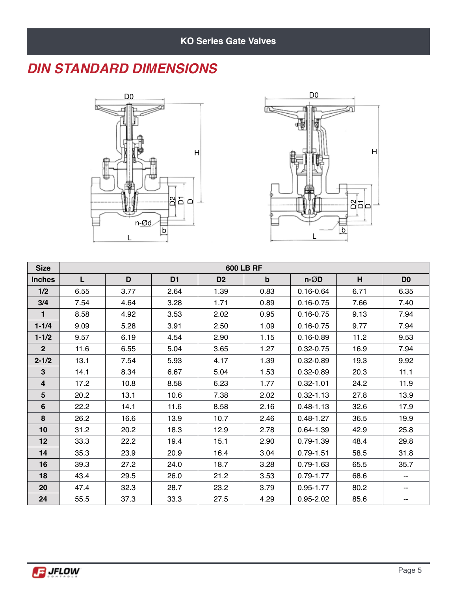#### *DIN STANDARD DIMENSIONS*





| <b>Size</b>    | <b>600 LB RF</b> |      |                |                |             |                   |      |                |  |  |  |  |
|----------------|------------------|------|----------------|----------------|-------------|-------------------|------|----------------|--|--|--|--|
| <b>Inches</b>  | L                | D    | D <sub>1</sub> | D <sub>2</sub> | $\mathbf b$ | $n-\varnothing D$ | H    | D <sub>0</sub> |  |  |  |  |
| 1/2            | 6.55             | 3.77 | 2.64           | 1.39           | 0.83        | $0.16 - 0.64$     | 6.71 | 6.35           |  |  |  |  |
| 3/4            | 7.54             | 4.64 | 3.28           | 1.71           | 0.89        | $0.16 - 0.75$     | 7.66 | 7.40           |  |  |  |  |
| 1              | 8.58             | 4.92 | 3.53           | 2.02           | 0.95        | $0.16 - 0.75$     | 9.13 | 7.94           |  |  |  |  |
| $1 - 1/4$      | 9.09             | 5.28 | 3.91           | 2.50           | 1.09        | $0.16 - 0.75$     | 9.77 | 7.94           |  |  |  |  |
| $1 - 1/2$      | 9.57             | 6.19 | 4.54           | 2.90           | 1.15        | $0.16 - 0.89$     | 11.2 | 9.53           |  |  |  |  |
| 2 <sup>2</sup> | 11.6             | 6.55 | 5.04           | 3.65           | 1.27        | $0.32 - 0.75$     | 16.9 | 7.94           |  |  |  |  |
| $2 - 1/2$      | 13.1             | 7.54 | 5.93           | 4.17           | 1.39        | $0.32 - 0.89$     | 19.3 | 9.92           |  |  |  |  |
| $\overline{3}$ | 14.1             | 8.34 | 6.67           | 5.04           | 1.53        | 0.32-0.89         | 20.3 | 11.1           |  |  |  |  |
| $\overline{4}$ | 17.2             | 10.8 | 8.58           | 6.23           | 1.77        | $0.32 - 1.01$     | 24.2 | 11.9           |  |  |  |  |
| 5              | 20.2             | 13.1 | 10.6           | 7.38           | 2.02        | $0.32 - 1.13$     | 27.8 | 13.9           |  |  |  |  |
| 6              | 22.2             | 14.1 | 11.6           | 8.58           | 2.16        | $0.48 - 1.13$     | 32.6 | 17.9           |  |  |  |  |
| 8              | 26.2             | 16.6 | 13.9           | 10.7           | 2.46        | $0.48 - 1.27$     | 36.5 | 19.9           |  |  |  |  |
| 10             | 31.2             | 20.2 | 18.3           | 12.9           | 2.78        | $0.64 - 1.39$     | 42.9 | 25.8           |  |  |  |  |
| 12             | 33.3             | 22.2 | 19.4           | 15.1           | 2.90        | $0.79 - 1.39$     | 48.4 | 29.8           |  |  |  |  |
| 14             | 35.3             | 23.9 | 20.9           | 16.4           | 3.04        | $0.79 - 1.51$     | 58.5 | 31.8           |  |  |  |  |
| 16             | 39.3             | 27.2 | 24.0           | 18.7           | 3.28        | $0.79 - 1.63$     | 65.5 | 35.7           |  |  |  |  |
| 18             | 43.4             | 29.5 | 26.0           | 21.2           | 3.53        | $0.79 - 1.77$     | 68.6 | --             |  |  |  |  |
| 20             | 47.4             | 32.3 | 28.7           | 23.2           | 3.79        | $0.95 - 1.77$     | 80.2 | --             |  |  |  |  |
| 24             | 55.5             | 37.3 | 33.3           | 27.5           | 4.29        | $0.95 - 2.02$     | 85.6 | --             |  |  |  |  |

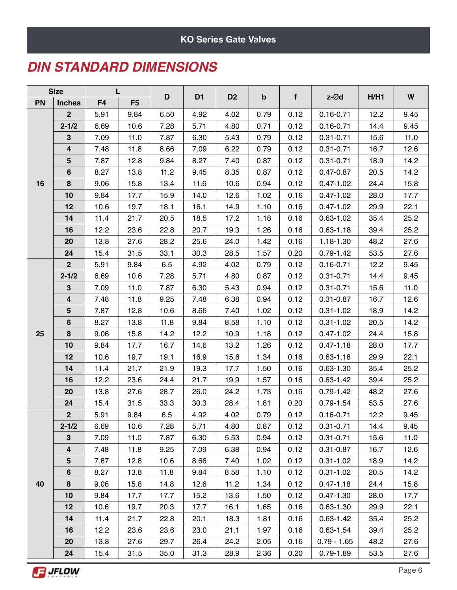#### **KO Series Gate Valves**

#### *DIN STANDARD DIMENSIONS*

| <b>Size</b><br>PN<br><b>Inches</b> |                  | L              |                |      |                |                |                           |      |               |      | W    |
|------------------------------------|------------------|----------------|----------------|------|----------------|----------------|---------------------------|------|---------------|------|------|
|                                    |                  | F <sub>4</sub> | F <sub>5</sub> | D    | D <sub>1</sub> | D <sub>2</sub> | $\boldsymbol{\mathsf{b}}$ | f    | z-Ød          | H/H1 |      |
|                                    | 2 <sup>1</sup>   | 5.91           | 9.84           | 6.50 | 4.92           | 4.02           | 0.79                      | 0.12 | $0.16 - 0.71$ | 12.2 | 9.45 |
|                                    | $2 - 1/2$        | 6.69           | 10.6           | 7.28 | 5.71           | 4.80           | 0.71                      | 0.12 | $0.16 - 0.71$ | 14.4 | 9.45 |
|                                    | $\mathbf 3$      | 7.09           | 11.0           | 7.87 | 6.30           | 5.43           | 0.79                      | 0.12 | $0.31 - 0.71$ | 15.6 | 11.0 |
|                                    | 4                | 7.48           | 11.8           | 8.66 | 7.09           | 6.22           | 0.79                      | 0.12 | $0.31 - 0.71$ | 16.7 | 12.6 |
|                                    | $5\phantom{.0}$  | 7.87           | 12.8           | 9.84 | 8.27           | 7.40           | 0.87                      | 0.12 | $0.31 - 0.71$ | 18.9 | 14.2 |
|                                    | 6                | 8.27           | 13.8           | 11.2 | 9.45           | 8.35           | 0.87                      | 0.12 | 0.47-0.87     | 20.5 | 14.2 |
| 16                                 | $\pmb{8}$        | 9.06           | 15.8           | 13.4 | 11.6           | 10.6           | 0.94                      | 0.12 | $0.47 - 1.02$ | 24.4 | 15.8 |
|                                    | 10               | 9.84           | 17.7           | 15.9 | 14.0           | 12.6           | 1.02                      | 0.16 | $0.47 - 1.02$ | 28.0 | 17.7 |
|                                    | 12               | 10.6           | 19.7           | 18.1 | 16.1           | 14.9           | 1.10                      | 0.16 | $0.47 - 1.02$ | 29.9 | 22.1 |
|                                    | 14               | 11.4           | 21.7           | 20.5 | 18.5           | 17.2           | 1.18                      | 0.16 | $0.63 - 1.02$ | 35.4 | 25.2 |
|                                    | 16               | 12.2           | 23.6           | 22.8 | 20.7           | 19.3           | 1.26                      | 0.16 | $0.63 - 1.18$ | 39.4 | 25.2 |
|                                    | 20               | 13.8           | 27.6           | 28.2 | 25.6           | 24.0           | 1.42                      | 0.16 | 1.18-1.30     | 48.2 | 27.6 |
|                                    | 24               | 15.4           | 31.5           | 33.1 | 30.3           | 28.5           | 1.57                      | 0.20 | $0.79 - 1.42$ | 53.5 | 27.6 |
|                                    | $\overline{2}$   | 5.91           | 9.84           | 6.5  | 4.92           | 4.02           | 0.79                      | 0.12 | $0.16 - 0.71$ | 12.2 | 9.45 |
|                                    | $2 - 1/2$        | 6.69           | 10.6           | 7.28 | 5.71           | 4.80           | 0.87                      | 0.12 | $0.31 - 0.71$ | 14.4 | 9.45 |
|                                    | $\mathbf{3}$     | 7.09           | 11.0           | 7.87 | 6.30           | 5.43           | 0.94                      | 0.12 | $0.31 - 0.71$ | 15.6 | 11.0 |
|                                    | 4                | 7.48           | 11.8           | 9.25 | 7.48           | 6.38           | 0.94                      | 0.12 | $0.31 - 0.87$ | 16.7 | 12.6 |
|                                    | $5\phantom{.0}$  | 7.87           | 12.8           | 10.6 | 8.66           | 7.40           | 1.02                      | 0.12 | $0.31 - 1.02$ | 18.9 | 14.2 |
|                                    | 6                | 8.27           | 13.8           | 11.8 | 9.84           | 8.58           | 1.10                      | 0.12 | $0.31 - 1.02$ | 20.5 | 14.2 |
| 25                                 | 8                | 9.06           | 15.8           | 14.2 | 12.2           | 10.9           | 1.18                      | 0.12 | $0.47 - 1.02$ | 24.4 | 15.8 |
|                                    | 10               | 9.84           | 17.7           | 16.7 | 14.6           | 13.2           | 1.26                      | 0.12 | $0.47 - 1.18$ | 28.0 | 17.7 |
|                                    | 12               | 10.6           | 19.7           | 19.1 | 16.9           | 15.6           | 1.34                      | 0.16 | $0.63 - 1.18$ | 29.9 | 22.1 |
|                                    | 14               | 11.4           | 21.7           | 21.9 | 19.3           | 17.7           | 1.50                      | 0.16 | $0.63 - 1.30$ | 35.4 | 25.2 |
|                                    | 16               | 12.2           | 23.6           | 24.4 | 21.7           | 19.9           | 1.57                      | 0.16 | $0.63 - 1.42$ | 39.4 | 25.2 |
|                                    | 20               | 13.8           | 27.6           | 28.7 | 26.0           | 24.2           | 1.73                      | 0.16 | $0.79 - 1.42$ | 48.2 | 27.6 |
|                                    | 24               | 15.4           | 31.5           | 33.3 | 30.3           | 28.4           | 1.81                      | 0.20 | $0.79 - 1.54$ | 53.5 | 27.6 |
|                                    | $\mathbf{2}$     | 5.91           | 9.84           | 6.5  | 4.92           | 4.02           | 0.79                      | 0.12 | $0.16 - 0.71$ | 12.2 | 9.45 |
|                                    | $2 - 1/2$        | 6.69           | 10.6           | 7.28 | 5.71           | 4.80           | 0.87                      | 0.12 | $0.31 - 0.71$ | 14.4 | 9.45 |
|                                    | $\mathbf{3}$     | 7.09           | 11.0           | 7.87 | 6.30           | 5.53           | 0.94                      | 0.12 | $0.31 - 0.71$ | 15.6 | 11.0 |
|                                    | $\boldsymbol{4}$ | 7.48           | 11.8           | 9.25 | 7.09           | 6.38           | 0.94                      | 0.12 | $0.31 - 0.87$ | 16.7 | 12.6 |
|                                    | 5                | 7.87           | 12.8           | 10.6 | 8.66           | 7.40           | 1.02                      | 0.12 | $0.31 - 1.02$ | 18.9 | 14.2 |
|                                    | $6\phantom{1}$   | 8.27           | 13.8           | 11.8 | 9.84           | 8.58           | 1.10                      | 0.12 | $0.31 - 1.02$ | 20.5 | 14.2 |
| 40                                 | 8                | 9.06           | 15.8           | 14.8 | 12.6           | 11.2           | 1.34                      | 0.12 | $0.47 - 1.18$ | 24.4 | 15.8 |
|                                    | 10               | 9.84           | 17.7           | 17.7 | 15.2           | 13.6           | 1.50                      | 0.12 | $0.47 - 1.30$ | 28.0 | 17.7 |
|                                    | 12               | 10.6           | 19.7           | 20.3 | 17.7           | 16.1           | 1.65                      | 0.16 | $0.63 - 1.30$ | 29.9 | 22.1 |
|                                    | 14               | 11.4           | 21.7           | 22.8 | 20.1           | 18.3           | 1.81                      | 0.16 | $0.63 - 1.42$ | 35.4 | 25.2 |
|                                    | 16               | 12.2           | 23.6           | 23.6 | 23.0           | 21.1           | 1.97                      | 0.16 | $0.63 - 1.54$ | 39.4 | 25.2 |
|                                    | 20               | 13.8           | 27.6           | 29.7 | 26.4           | 24.2           | 2.05                      | 0.16 | $0.79 - 1.65$ | 48.2 | 27.6 |
|                                    | 24               | 15.4           | 31.5           | 35.0 | 31.3           | 28.9           | 2.36                      | 0.20 | $0.79 - 1.89$ | 53.5 | 27.6 |

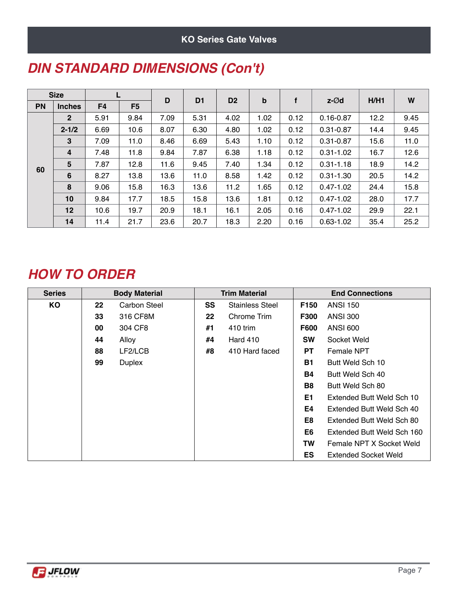#### **KO Series Gate Valves**

| <b>Size</b> |                 |                | D              | D <sub>1</sub> | D <sub>2</sub> | $\mathbf b$ | f    | $z - \varnothing d$ | H/H1          | W    |      |
|-------------|-----------------|----------------|----------------|----------------|----------------|-------------|------|---------------------|---------------|------|------|
| PN          | <b>Inches</b>   | F <sub>4</sub> | F <sub>5</sub> |                |                |             |      |                     |               |      |      |
|             | 2 <sup>2</sup>  | 5.91           | 9.84           | 7.09           | 5.31           | 4.02        | 1.02 | 0.12                | $0.16 - 0.87$ | 12.2 | 9.45 |
|             | $2 - 1/2$       | 6.69           | 10.6           | 8.07           | 6.30           | 4.80        | 1.02 | 0.12                | $0.31 - 0.87$ | 14.4 | 9.45 |
|             | 3               | 7.09           | 11.0           | 8.46           | 6.69           | 5.43        | 1.10 | 0.12                | $0.31 - 0.87$ | 15.6 | 11.0 |
|             | 4               | 7.48           | 11.8           | 9.84           | 7.87           | 6.38        | 1.18 | 0.12                | $0.31 - 1.02$ | 16.7 | 12.6 |
|             | 5               | 7.87           | 12.8           | 11.6           | 9.45           | 7.40        | 1.34 | 0.12                | $0.31 - 1.18$ | 18.9 | 14.2 |
| 60          | 6               | 8.27           | 13.8           | 13.6           | 11.0           | 8.58        | 1.42 | 0.12                | $0.31 - 1.30$ | 20.5 | 14.2 |
|             | 8               | 9.06           | 15.8           | 16.3           | 13.6           | 11.2        | 1.65 | 0.12                | $0.47 - 1.02$ | 24.4 | 15.8 |
|             | 10              | 9.84           | 17.7           | 18.5           | 15.8           | 13.6        | 1.81 | 0.12                | $0.47 - 1.02$ | 28.0 | 17.7 |
|             | 12 <sub>2</sub> | 10.6           | 19.7           | 20.9           | 18.1           | 16.1        | 2.05 | 0.16                | $0.47 - 1.02$ | 29.9 | 22.1 |
|             | 14              | 11.4           | 21.7           | 23.6           | 20.7           | 18.3        | 2.20 | 0.16                | $0.63 - 1.02$ | 35.4 | 25.2 |

### *DIN STANDARD DIMENSIONS (Con't)*

# *HOW TO ORDER*

| <b>Series</b> | <b>Body Material</b> |                     |         | <b>Trim Material</b>   | <b>End Connections</b> |                             |  |
|---------------|----------------------|---------------------|---------|------------------------|------------------------|-----------------------------|--|
| KO            | $22 \,$              | <b>Carbon Steel</b> | SS      | <b>Stainless Steel</b> | F150                   | <b>ANSI 150</b>             |  |
|               | 33                   | 316 CF8M            | $22 \,$ | Chrome Trim            | <b>F300</b>            | <b>ANSI 300</b>             |  |
|               | 00                   | 304 CF8             | #1      | 410 trim               | <b>F600</b>            | <b>ANSI 600</b>             |  |
|               | 44                   | Alloy               | #4      | <b>Hard 410</b>        | <b>SW</b>              | Socket Weld                 |  |
|               | 88                   | LF2/LCB             | #8      | 410 Hard faced         | <b>PT</b>              | Female NPT                  |  |
|               | 99                   | <b>Duplex</b>       |         |                        | <b>B1</b>              | Butt Weld Sch 10            |  |
|               |                      |                     |         |                        | <b>B4</b>              | Butt Weld Sch 40            |  |
|               |                      |                     |         |                        | <b>B8</b>              | Butt Weld Sch 80            |  |
|               |                      |                     |         |                        | E1                     | Extended Butt Weld Sch 10   |  |
|               |                      |                     |         |                        | E4                     | Extended Butt Weld Sch 40   |  |
|               |                      |                     |         |                        | E8                     | Extended Butt Weld Sch 80   |  |
|               |                      |                     |         |                        | E6                     | Extended Butt Weld Sch 160  |  |
|               |                      |                     |         |                        | TW                     | Female NPT X Socket Weld    |  |
|               |                      |                     |         |                        | ES                     | <b>Extended Socket Weld</b> |  |